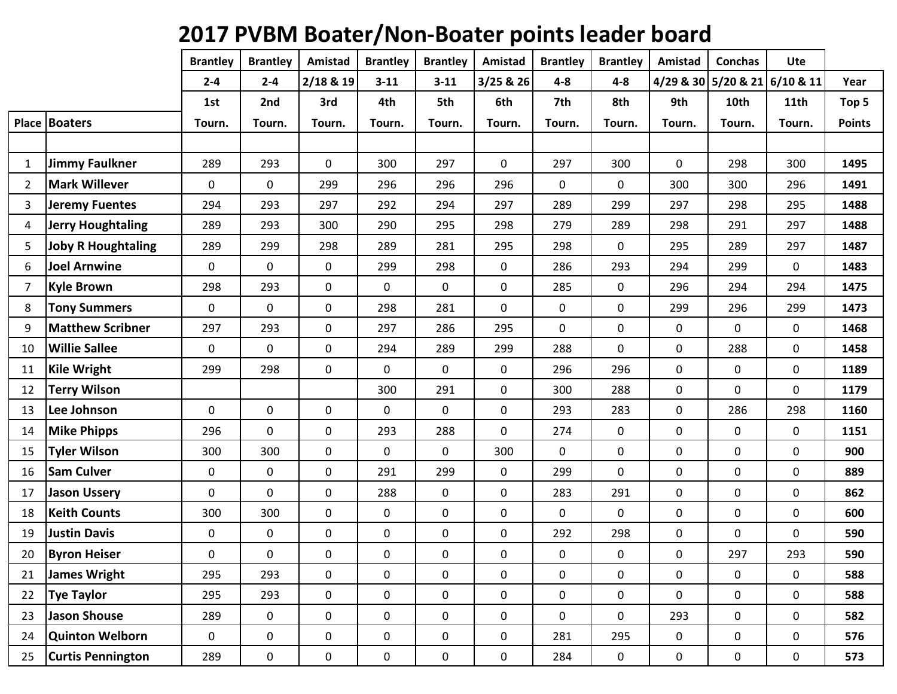## **2017 PVBM Boater/Non-Boater points leader board**

|                |                          | <b>Brantley</b>  | <b>Brantley</b> | Amistad     | <b>Brantley</b> | <b>Brantley</b> | Amistad     | <b>Brantley</b> | <b>Brantley</b> | Amistad     | <b>Conchas</b> | <b>Ute</b>                    |               |
|----------------|--------------------------|------------------|-----------------|-------------|-----------------|-----------------|-------------|-----------------|-----------------|-------------|----------------|-------------------------------|---------------|
|                |                          | $2 - 4$          | $2 - 4$         | 2/18 & 19   | $3 - 11$        | $3 - 11$        | 3/25 & 26   | $4 - 8$         | $4 - 8$         |             |                | 4/29 & 30 5/20 & 21 6/10 & 11 | Year          |
|                |                          | 1st              | 2nd             | 3rd         | 4th             | 5th             | 6th         | 7th             | 8th             | 9th         | 10th           | <b>11th</b>                   | Top 5         |
|                | Place   Boaters          | Tourn.           | Tourn.          | Tourn.      | Tourn.          | Tourn.          | Tourn.      | Tourn.          | Tourn.          | Tourn.      | Tourn.         | Tourn.                        | <b>Points</b> |
|                |                          |                  |                 |             |                 |                 |             |                 |                 |             |                |                               |               |
| $\mathbf{1}$   | Jimmy Faulkner           | 289              | 293             | $\mathbf 0$ | 300             | 297             | $\mathbf 0$ | 297             | 300             | 0           | 298            | 300                           | 1495          |
| $\overline{2}$ | <b>Mark Willever</b>     | $\mathbf 0$      | $\mathbf 0$     | 299         | 296             | 296             | 296         | $\mathbf 0$     | $\mathbf 0$     | 300         | 300            | 296                           | 1491          |
| 3              | Jeremy Fuentes           | 294              | 293             | 297         | 292             | 294             | 297         | 289             | 299             | 297         | 298            | 295                           | 1488          |
| 4              | <b>Jerry Houghtaling</b> | 289              | 293             | 300         | 290             | 295             | 298         | 279             | 289             | 298         | 291            | 297                           | 1488          |
| 5              | Joby R Houghtaling       | 289              | 299             | 298         | 289             | 281             | 295         | 298             | $\mathbf 0$     | 295         | 289            | 297                           | 1487          |
| 6              | <b>Joel Arnwine</b>      | $\mathbf 0$      | $\overline{0}$  | $\mathbf 0$ | 299             | 298             | $\mathbf 0$ | 286             | 293             | 294         | 299            | $\mathbf 0$                   | 1483          |
| $\overline{7}$ | <b>Kyle Brown</b>        | 298              | 293             | $\mathbf 0$ | $\mathbf 0$     | $\mathbf 0$     | $\mathbf 0$ | 285             | $\mathbf 0$     | 296         | 294            | 294                           | 1475          |
| 8              | <b>Tony Summers</b>      | $\mathbf 0$      | $\mathbf 0$     | $\mathbf 0$ | 298             | 281             | $\mathbf 0$ | $\mathbf 0$     | $\mathbf 0$     | 299         | 296            | 299                           | 1473          |
| 9              | <b>Matthew Scribner</b>  | 297              | 293             | $\mathbf 0$ | 297             | 286             | 295         | $\mathbf 0$     | $\mathbf 0$     | 0           | $\mathbf 0$    | $\mathbf 0$                   | 1468          |
| 10             | <b>Willie Sallee</b>     | $\mathbf 0$      | $\mathbf 0$     | $\mathbf 0$ | 294             | 289             | 299         | 288             | $\mathbf 0$     | 0           | 288            | $\mathbf 0$                   | 1458          |
| 11             | Kile Wright              | 299              | 298             | $\mathbf 0$ | 0               | $\mathbf 0$     | 0           | 296             | 296             | 0           | 0              | $\mathbf 0$                   | 1189          |
| 12             | <b>Terry Wilson</b>      |                  |                 |             | 300             | 291             | $\mathbf 0$ | 300             | 288             | 0           | $\mathbf 0$    | $\mathbf 0$                   | 1179          |
| 13             | Lee Johnson              | 0                | 0               | 0           | $\mathbf 0$     | $\mathbf 0$     | 0           | 293             | 283             | 0           | 286            | 298                           | 1160          |
| 14             | <b>Mike Phipps</b>       | 296              | $\mathbf 0$     | $\mathbf 0$ | 293             | 288             | $\mathbf 0$ | 274             | 0               | 0           | 0              | $\mathbf 0$                   | 1151          |
| 15             | <b>Tyler Wilson</b>      | 300              | 300             | $\mathbf 0$ | $\mathbf 0$     | $\mathbf 0$     | 300         | $\mathbf 0$     | 0               | 0           | 0              | $\mathbf 0$                   | 900           |
| 16             | <b>Sam Culver</b>        | $\mathbf 0$      | 0               | $\mathbf 0$ | 291             | 299             | 0           | 299             | $\mathbf 0$     | 0           | 0              | $\mathbf 0$                   | 889           |
| 17             | <b>Jason Ussery</b>      | $\boldsymbol{0}$ | $\mathbf 0$     | $\mathbf 0$ | 288             | $\mathbf 0$     | 0           | 283             | 291             | 0           | 0              | $\mathbf 0$                   | 862           |
| 18             | <b>Keith Counts</b>      | 300              | 300             | $\mathbf 0$ | 0               | 0               | $\mathbf 0$ | $\mathbf 0$     | $\mathbf 0$     | 0           | 0              | $\mathbf 0$                   | 600           |
| 19             | <b>Justin Davis</b>      | 0                | 0               | $\mathbf 0$ | 0               | 0               | 0           | 292             | 298             | 0           | $\mathbf 0$    | 0                             | 590           |
| 20             | <b>Byron Heiser</b>      | 0                | 0               | 0           | 0               | 0               | 0           | 0               | 0               | 0           | 297            | 293                           | 590           |
| 21             | James Wright             | 295              | 293             | $\mathbf 0$ | $\mathbf 0$     | $\mathbf 0$     | $\mathbf 0$ | $\mathbf 0$     | $\mathbf 0$     | 0           | $\mathbf 0$    | $\mathbf 0$                   | 588           |
| 22             | <b>Tye Taylor</b>        | 295              | 293             | $\mathbf 0$ | $\mathbf 0$     | 0               | $\mathbf 0$ | 0               | $\mathbf 0$     | 0           | $\mathbf 0$    | 0                             | 588           |
| 23             | Jason Shouse             | 289              | $\mathbf 0$     | $\mathbf 0$ | $\mathbf 0$     | 0               | 0           | 0               | $\mathbf 0$     | 293         | 0              | 0                             | 582           |
| 24             | Quinton Welborn          | $\mathbf 0$      | $\mathbf 0$     | $\mathbf 0$ | 0               | 0               | 0           | 281             | 295             | 0           | 0              | 0                             | 576           |
| 25             | <b>Curtis Pennington</b> | 289              | $\mathbf 0$     | 0           | 0               | $\mathbf 0$     | $\mathbf 0$ | 284             | $\mathbf 0$     | $\mathbf 0$ | 0              | $\mathbf 0$                   | 573           |